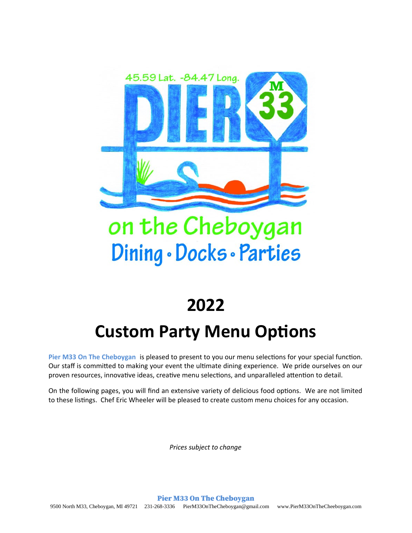

# on the Cheboygan Dining · Docks · Parties

## **2022**

## **Custom Party Menu Options**

**Pier M33 On The Cheboygan** is pleased to present to you our menu selections for your special function. Our staff is committed to making your event the ultimate dining experience. We pride ourselves on our proven resources, innovative ideas, creative menu selections, and unparalleled attention to detail.

On the following pages, you will find an extensive variety of delicious food options. We are not limited to these listings. Chef Eric Wheeler will be pleased to create custom menu choices for any occasion.

*Prices subject to change*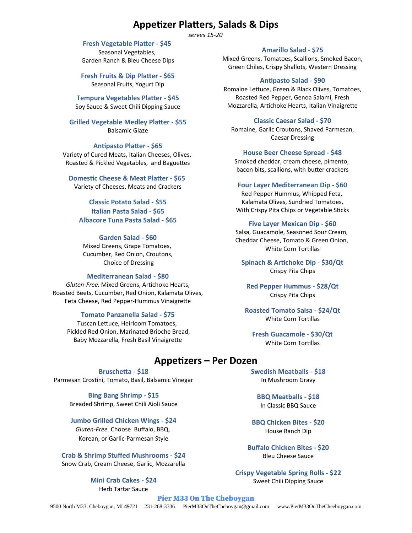## **Appetizer Platters, Salads & Dips**

*serves 15-20*

**Fresh Vegetable Platter - \$45** 

Seasonal Vegetables, Garden Ranch & Bleu Cheese Dips

**Fresh Fruits & Dip Platter - \$65** Seasonal Fruits, Yogurt Dip

**Tempura Vegetables Platter - \$45** Soy Sauce & Sweet Chili Dipping Sauce

**Grilled Vegetable Medley Platter - \$55** Balsamic Glaze

**Antipasto Platter - \$65**

Variety of Cured Meats, Italian Cheeses, Olives, Roasted & Pickled Vegetables, and Baguettes

**Domestic Cheese & Meat Platter - \$65** Variety of Cheeses, Meats and Crackers

**Classic Potato Salad - \$55 Italian Pasta Salad - \$65 Albacore Tuna Pasta Salad - \$65**

#### **Garden Salad - \$60**

Mixed Greens, Grape Tomatoes, Cucumber, Red Onion, Croutons, Choice of Dressing

#### **Mediterranean Salad - \$80**

*Gluten-Free.* Mixed Greens, Artichoke Hearts, Roasted Beets, Cucumber, Red Onion, Kalamata Olives, Feta Cheese, Red Pepper-Hummus Vinaigrette

#### **Tomato Panzanella Salad - \$75**

Tuscan Lettuce, Heirloom Tomatoes, Pickled Red Onion, Marinated Brioche Bread, Baby Mozzarella, Fresh Basil Vinaigrette

#### **Amarillo Salad - \$75**

Mixed Greens, Tomatoes, Scallions, Smoked Bacon, Green Chiles, Crispy Shallots, Western Dressing

#### **Antipasto Salad - \$90**

Romaine Lettuce, Green & Black Olives, Tomatoes, Roasted Red Pepper, Genoa Salami, Fresh Mozzarella, Artichoke Hearts, Italian Vinaigrette

#### **Classic Caesar Salad - \$70**

Romaine, Garlic Croutons, Shaved Parmesan, Caesar Dressing

#### **House Beer Cheese Spread - \$48**

Smoked cheddar, cream cheese, pimento, bacon bits, scallions, with butter crackers

#### **Four Layer Mediterranean Dip - \$60**

Red Pepper Hummus, Whipped Feta, Kalamata Olives, Sundried Tomatoes, With Crispy Pita Chips or Vegetable Sticks

#### **Five Layer Mexican Dip - \$60**

Salsa, Guacamole, Seasoned Sour Cream, Cheddar Cheese, Tomato & Green Onion, White Corn Tortillas

**Spinach & Artichoke Dip - \$30/Qt** Crispy Pita Chips

**Red Pepper Hummus - \$28/Qt** Crispy Pita Chips

**Roasted Tomato Salsa - \$24/Qt** White Corn Tortillas

**Fresh Guacamole - \$30/Qt** White Corn Tortillas

#### **Appetizers – Per Dozen**

**Bruschetta - \$18** Parmesan Crostini, Tomato, Basil, Balsamic Vinegar

> **Bing Bang Shrimp - \$15** Breaded Shrimp, Sweet Chili Aioli Sauce

#### **Jumbo Grilled Chicken Wings - \$24**

*Gluten-Free.* Choose Buffalo, BBQ, Korean, or Garlic-Parmesan Style

**Crab & Shrimp Stuffed Mushrooms - \$24** Snow Crab, Cream Cheese, Garlic, Mozzarella

> **Mini Crab Cakes - \$24** Herb Tartar Sauce

**Swedish Meatballs - \$18** In Mushroom Gravy

**BBQ Meatballs - \$18** In Classic BBQ Sauce

**BBQ Chicken Bites - \$20** House Ranch Dip

**Buffalo Chicken Bites - \$20** Bleu Cheese Sauce

**Crispy Vegetable Spring Rolls - \$22** Sweet Chili Dipping Sauce

Pier M33 On The Cheboygan 9500 North M33, Cheboygan, MI 49721 231-268-3336 [PierM33OnTheCheboygan@gmail.com](mailto:PierM33OnTheCheboygan@gmail.com) www.PierM33OnTheCheeboygan.com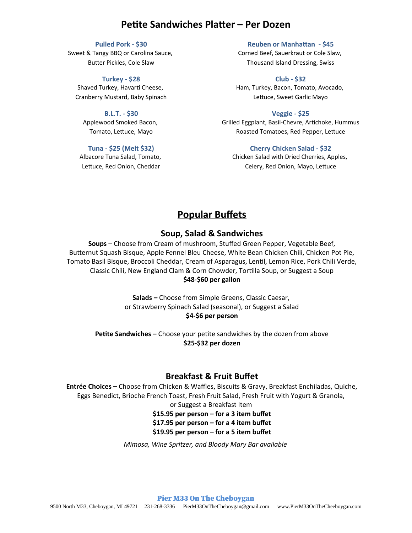## **Petite Sandwiches Platter – Per Dozen**

#### **Pulled Pork - \$30**

Sweet & Tangy BBQ or Carolina Sauce, Butter Pickles, Cole Slaw

**Turkey - \$28** Shaved Turkey, Havarti Cheese, Cranberry Mustard, Baby Spinach

**B.L.T. - \$30** Applewood Smoked Bacon, Tomato, Lettuce, Mayo

**Tuna - \$25 (Melt \$32)**

Albacore Tuna Salad, Tomato, Lettuce, Red Onion, Cheddar

**Reuben or Manhattan - \$45** Corned Beef, Sauerkraut or Cole Slaw, Thousand Island Dressing, Swiss

**Club - \$32** Ham, Turkey, Bacon, Tomato, Avocado, Lettuce, Sweet Garlic Mayo

**Veggie - \$25** Grilled Eggplant, Basil-Chevre, Artichoke, Hummus Roasted Tomatoes, Red Pepper, Lettuce

**Cherry Chicken Salad - \$32** Chicken Salad with Dried Cherries, Apples, Celery, Red Onion, Mayo, Lettuce

## **Popular Buffets**

#### **Soup, Salad & Sandwiches**

**Soups** – Choose from Cream of mushroom, Stuffed Green Pepper, Vegetable Beef, Butternut Squash Bisque, Apple Fennel Bleu Cheese, White Bean Chicken Chili, Chicken Pot Pie, Tomato Basil Bisque, Broccoli Cheddar, Cream of Asparagus, Lentil, Lemon Rice, Pork Chili Verde, Classic Chili, New England Clam & Corn Chowder, Tortilla Soup, or Suggest a Soup **\$48-\$60 per gallon**

> **Salads –** Choose from Simple Greens, Classic Caesar, or Strawberry Spinach Salad (seasonal), or Suggest a Salad **\$4-\$6 per person**

**Petite Sandwiches –** Choose your petite sandwiches by the dozen from above **\$25-\$32 per dozen**

### **Breakfast & Fruit Buffet**

**Entrée Choices –** Choose from Chicken & Waffles, Biscuits & Gravy, Breakfast Enchiladas, Quiche, Eggs Benedict, Brioche French Toast, Fresh Fruit Salad, Fresh Fruit with Yogurt & Granola, or Suggest a Breakfast Item

**\$15.95 per person – for a 3 item buffet \$17.95 per person – for a 4 item buffet \$19.95 per person – for a 5 item buffet**

*Mimosa, Wine Spritzer, and Bloody Mary Bar available*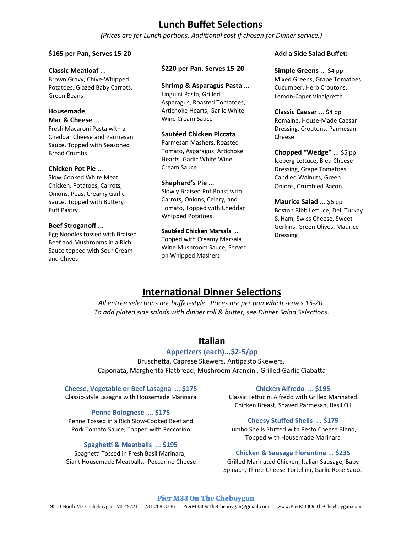## **Lunch Buffet Selections**

*(Prices are for Lunch portions. Additional cost if chosen for Dinner service.)*

#### **\$165 per Pan, Serves 15-20**

#### **Classic Meatloaf** ...

Brown Gravy, Chive-Whipped Potatoes, Glazed Baby Carrots, Green Beans

#### **Housemade**

#### **Mac & Cheese** ...

Fresh Macaroni Pasta with a Cheddar Cheese and Parmesan Sauce, Topped with Seasoned Bread Crumbs

#### **Chicken Pot Pie** ...

Slow-Cooked White Meat Chicken, Potatoes, Carrots, Onions, Peas, Creamy Garlic Sauce, Topped with Buttery Puff Pastry

#### **Beef Stroganoff ...**

Egg Noodles tossed with Braised Beef and Mushrooms in a Rich Sauce topped with Sour Cream and Chives

#### **\$220 per Pan, Serves 15-20**

#### **Shrimp & Asparagus Pasta** ...

Linguini Pasta, Grilled Asparagus, Roasted Tomatoes, Artichoke Hearts, Garlic White Wine Cream Sauce

#### **Sautéed Chicken Piccata** ...

Parmesan Mashers, Roasted Tomato, Asparagus, Artichoke Hearts, Garlic White Wine Cream Sauce

#### **Shepherd's Pie** ...

Slowly Braised Pot Roast with Carrots, Onions, Celery, and Tomato, Topped with Cheddar Whipped Potatoes

#### **Sautéed Chicken Marsala** ...

Topped with Creamy Marsala Wine Mushroom Sauce, Served on Whipped Mashers

#### **Add a Side Salad Buffet:**

**Simple Greens** ... \$4 pp Mixed Greens, Grape Tomatoes, Cucumber, Herb Croutons, Lemon-Caper Vinaigrette

**Classic Caesar** ... \$4 pp Romaine, House-Made Caesar Dressing, Croutons, Parmesan Cheese

**Chopped "Wedge"** ... \$5 pp Iceberg Lettuce, Bleu Cheese Dressing, Grape Tomatoes, Candied Walnuts, Green Onions, Crumbled Bacon

**Maurice Salad** ... \$6 pp Boston Bibb Lettuce, Deli Turkey & Ham, Swiss Cheese, Sweet Gerkins, Green Olives, Maurice Dressing

## **International Dinner Selections**

*All entrée selections are buffet-style. Prices are per pan which serves 15-20. To add plated side salads with dinner roll & butter, see Dinner Salad Selections.*

## **Italian**

#### **Appetizers (each)...\$2-5/pp**

Bruschetta, Caprese Skewers, Antipasto Skewers, Caponata, Margherita Flatbread, Mushroom Arancini, Grilled Garlic Ciabatta

#### **Cheese, Vegetable or Beef Lasagna** ... **\$175**

Classic-Style Lasagna with Housemade Marinara

#### **Penne Bolognese** ... **\$175**

Penne Tossed in a Rich Slow-Cooked Beef and Pork Tomato Sauce, Topped with Peccorino

#### **Spaghetti & Meatballs** ... **\$195**

Spaghetti Tossed in Fresh Basil Marinara, Giant Housemade Meatballs, Peccorino Cheese

#### **Chicken Alfredo** ... **\$195**

Classic Fettucini Alfredo with Grilled Marinated Chicken Breast, Shaved Parmesan, Basil Oil

#### **Cheesy Stuffed Shells** ... **\$175**

Jumbo Shells Stuffed with Pesto Cheese Blend, Topped with Housemade Marinara

#### **Chicken & Sausage Florentine** ... **\$235**

Grilled Marinated Chicken, Italian Sausage, Baby Spinach, Three-Cheese Tortellini, Garlic Rose Sauce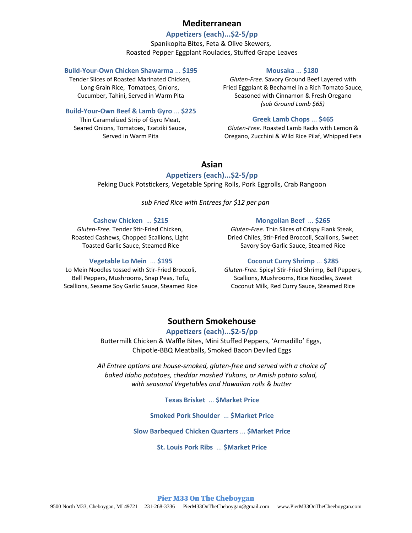#### **Mediterranean**

#### **Appetizers (each)...\$2-5/pp**

Spanikopita Bites, Feta & Olive Skewers, Roasted Pepper Eggplant Roulades, Stuffed Grape Leaves

#### **Build-Your-Own Chicken Shawarma** ... **\$195**

Tender Slices of Roasted Marinated Chicken, Long Grain Rice, Tomatoes, Onions, Cucumber, Tahini, Served in Warm Pita

#### **Build-Your-Own Beef & Lamb Gyro** ... **\$225**

Thin Caramelized Strip of Gyro Meat, Seared Onions, Tomatoes, Tzatziki Sauce, Served in Warm Pita

#### **Mousaka** ... **\$180**

*Gluten-Free.* Savory Ground Beef Layered with Fried Eggplant & Bechamel in a Rich Tomato Sauce, Seasoned with Cinnamon & Fresh Oregano *(sub Ground Lamb \$65)*

#### **Greek Lamb Chops** ... **\$465**

*Gluten-Free.* Roasted Lamb Racks with Lemon & Oregano, Zucchini & Wild Rice Pilaf, Whipped Feta

### **Asian**

#### **Appetizers (each)...\$2-5/pp**

Peking Duck Potstickers, Vegetable Spring Rolls, Pork Eggrolls, Crab Rangoon

*sub Fried Rice with Entrees for \$12 per pan*

#### **Cashew Chicken** ... **\$215**

*Gluten-Free.* Tender Stir-Fried Chicken, Roasted Cashews, Chopped Scallions, Light Toasted Garlic Sauce, Steamed Rice

#### **Vegetable Lo Mein** ... **\$195**

Lo Mein Noodles tossed with Stir-Fried Broccoli, Bell Peppers, Mushrooms, Snap Peas, Tofu, Scallions, Sesame Soy Garlic Sauce, Steamed Rice

#### **Mongolian Beef** ... **\$265**

*Gluten-Free.* Thin Slices of Crispy Flank Steak, Dried Chiles, Stir-Fried Broccoli, Scallions, Sweet Savory Soy-Garlic Sauce, Steamed Rice

#### **Coconut Curry Shrimp** ... **\$285**

*Gluten-Free.* Spicy! Stir-Fried Shrimp, Bell Peppers, Scallions, Mushrooms, Rice Noodles, Sweet Coconut Milk, Red Curry Sauce, Steamed Rice

## **Southern Smokehouse**

#### **Appetizers (each)...\$2-5/pp**

Buttermilk Chicken & Waffle Bites, Mini Stuffed Peppers, 'Armadillo' Eggs, Chipotle-BBQ Meatballs, Smoked Bacon Deviled Eggs

*All Entree options are house-smoked, gluten-free and served with a choice of baked Idaho potatoes, cheddar mashed Yukons, or Amish potato salad, with seasonal Vegetables and Hawaiian rolls & butter*

**Texas Brisket** ... **\$Market Price**

**Smoked Pork Shoulder** ... **\$Market Price**

**Slow Barbequed Chicken Quarters** ... **\$Market Price**

**St. Louis Pork Ribs** ... **\$Market Price**

#### Pier M33 On The Cheboygan 9500 North M33, Cheboygan, MI 49721 231-268-3336 [PierM33OnTheCheboygan@gmail.com](mailto:PierM33OnTheCheboygan@gmail.com) www.PierM33OnTheCheeboygan.com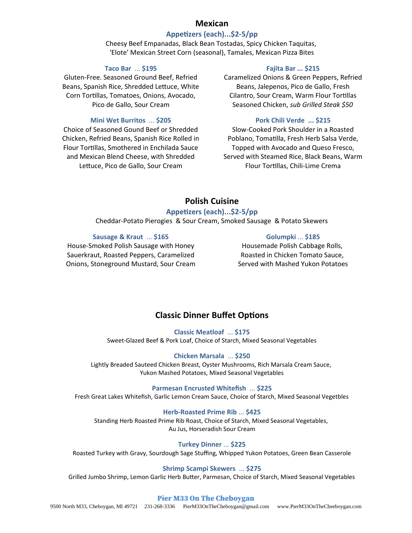#### **Mexican**

#### **Appetizers (each)...\$2-5/pp**

Cheesy Beef Empanadas, Black Bean Tostadas, Spicy Chicken Taquitas, 'Elote' Mexican Street Corn (seasonal), Tamales, Mexican Pizza Bites

#### **Taco Bar** ... **\$195**

Gluten-Free. Seasoned Ground Beef, Refried Beans, Spanish Rice, Shredded Lettuce, White Corn Tortillas, Tomatoes, Onions, Avocado, Pico de Gallo, Sour Cream

#### **Mini Wet Burritos** ... **\$205**

Choice of Seasoned Gound Beef or Shredded Chicken, Refried Beans, Spanish Rice Rolled in Flour Tortillas, Smothered in Enchilada Sauce and Mexican Blend Cheese, with Shredded Lettuce, Pico de Gallo, Sour Cream

#### **Fajita Bar ... \$215**

Caramelized Onions & Green Peppers, Refried Beans, Jalepenos, Pico de Gallo, Fresh Cilantro, Sour Cream, Warm Flour Tortillas Seasoned Chicken, *sub Grilled Steak \$50*

#### **Pork Chili Verde ... \$215**

Slow-Cooked Pork Shoulder in a Roasted Poblano, Tomatilla, Fresh Herb Salsa Verde, Topped with Avocado and Queso Fresco, Served with Steamed Rice, Black Beans, Warm Flour Tortillas, Chili-Lime Crema

## **Polish Cuisine**

#### **Appetizers (each)...\$2-5/pp**

Cheddar-Potato Pierogies & Sour Cream, Smoked Sausage & Potato Skewers

#### **Sausage & Kraut** ... **\$165**

House-Smoked Polish Sausage with Honey Sauerkraut, Roasted Peppers, Caramelized Onions, Stoneground Mustard, Sour Cream

#### **Golumpki** ... **\$185**

Housemade Polish Cabbage Rolls, Roasted in Chicken Tomato Sauce, Served with Mashed Yukon Potatoes

## **Classic Dinner Buffet Options**

**Classic Meatloaf** ... **\$175** Sweet-Glazed Beef & Pork Loaf, Choice of Starch, Mixed Seasonal Vegetables

#### **Chicken Marsala** ... **\$250**

Lightly Breaded Sauteed Chicken Breast, Oyster Mushrooms, Rich Marsala Cream Sauce, Yukon Mashed Potatoes, Mixed Seasonal Vegetables

#### **Parmesan Encrusted Whitefish** ... **\$225**

Fresh Great Lakes Whitefish, Garlic Lemon Cream Sauce, Choice of Starch, Mixed Seasonal Vegetbles

#### **Herb-Roasted Prime Rib** ... **\$425**

Standing Herb Roasted Prime Rib Roast, Choice of Starch, Mixed Seasonal Vegetables, Au Jus, Horseradish Sour Cream

#### **Turkey Dinner** ... **\$225**

Roasted Turkey with Gravy, Sourdough Sage Stuffing, Whipped Yukon Potatoes, Green Bean Casserole

#### **Shrimp Scampi Skewers** ... **\$275**

Grilled Jumbo Shrimp, Lemon Garlic Herb Butter, Parmesan, Choice of Starch, Mixed Seasonal Vegetables

#### Pier M33 On The Cheboygan

9500 North M33, Cheboygan, MI 49721 231-268-3336 [PierM33OnTheCheboygan@gmail.com](mailto:PierM33OnTheCheboygan@gmail.com) www.PierM33OnTheCheeboygan.com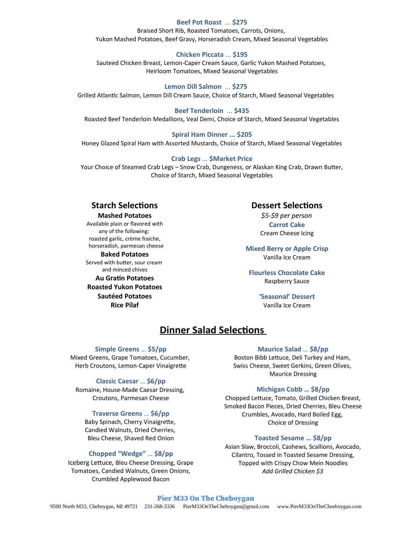#### **Beef Pot Roast** ... **\$275**

Braised Short Rib, Roasted Tomatoes, Carrots, Onions, Yukon Mashed Potatoes, Beef Gravy, Horseradish Cream, Mixed Seasonal Vegetables

#### **Chicken Piccata** ... **\$195**

Sauteed Chicken Breast, Lemon-Caper Cream Sauce, Garlic Yukon Mashed Potatoes, Heirloom Tomatoes, Mixed Seasonal Vegetables

**Lemon Dill Salmon** ... **\$275** Grilled Atlantic Salmon, Lemon Dill Cream Sauce, Choice of Starch, Mixed Seasonal Vegetables

#### **Beef Tenderloin** ... **\$435**

Roasted Beef Tenderloin Medallions, Veal Demi, Choice of Starch, Mixed Seasonal Vegetables

#### **Spiral Ham Dinner ... \$205**

Honey Glazed Spiral Ham with Assorted Mustards, Choice of Starch, Mixed Seasonal Vegetables

#### **Crab Legs** ... **\$Market Price**

Your Choice of Steamed Crab Legs – Snow Crab, Dungeness, or Alaskan King Crab, Drawn Butter, Choice of Starch, Mixed Seasonal Vegetables

#### **Starch Selections Mashed Potatoes**

Available plain or flavored with any of the following: roasted garlic, crème fraiche, horseradish, parmesan cheese

**Baked Potatoes**

Served with butter, sour cream and minced chives **Au Gratin Potatoes**

**Roasted Yukon Potatoes Sautéed Potatoes Rice Pilaf**

#### **Dessert Selections**

*\$5-\$9 per person* **Carrot Cake** Cream Cheese Icing

**Mixed Berry or Apple Crisp** Vanilla Ice Cream

#### **Flourless Chocolate Cake** Raspberry Sauce

**'Seasonal' Dessert** Vanilla Ice Cream

## **Dinner Salad Selections**

#### **Simple Greens** … **\$5/pp**

Mixed Greens, Grape Tomatoes, Cucumber, Herb Croutons, Lemon-Caper Vinaigrette

#### **Classic Caesar** … **\$6/pp**

Romaine, House-Made Caesar Dressing, Croutons, Parmesan Cheese

#### **Traverse Greens** … **\$6/pp**

Baby Spinach, Cherry Vinaigrette, Candied Walnuts, Dried Cherries, Bleu Cheese, Shaved Red Onion

#### **Chopped "Wedge"** … **\$8/pp**

Iceberg Lettuce, Bleu Cheese Dressing, Grape Tomatoes, Candied Walnuts, Green Onions, Crumbled Applewood Bacon

#### **Maurice Salad** … **\$8/pp**

Boston Bibb Lettuce, Deli Turkey and Ham, Swiss Cheese, Sweet Gerkins, Green Olives, Maurice Dressing

#### **Michigan Cobb … \$8/pp**

Chopped Lettuce, Tomato, Grilled Chicken Breast, Smoked Bacon Pieces, Dried Cherries, Bleu Cheese Crumbles, Avocado, Hard Boiled Egg, Choice of Dressing

#### **Toasted Sesame … \$8/pp**

Asian Slaw, Broccoli, Cashews, Scallions, Avocado, Cilantro, Tossed in Toasted Sesame Dressing, Topped with Crispy Chow Mein Noodles *Add Grilled Chicken \$3*

#### Pier M33 On The Cheboygan